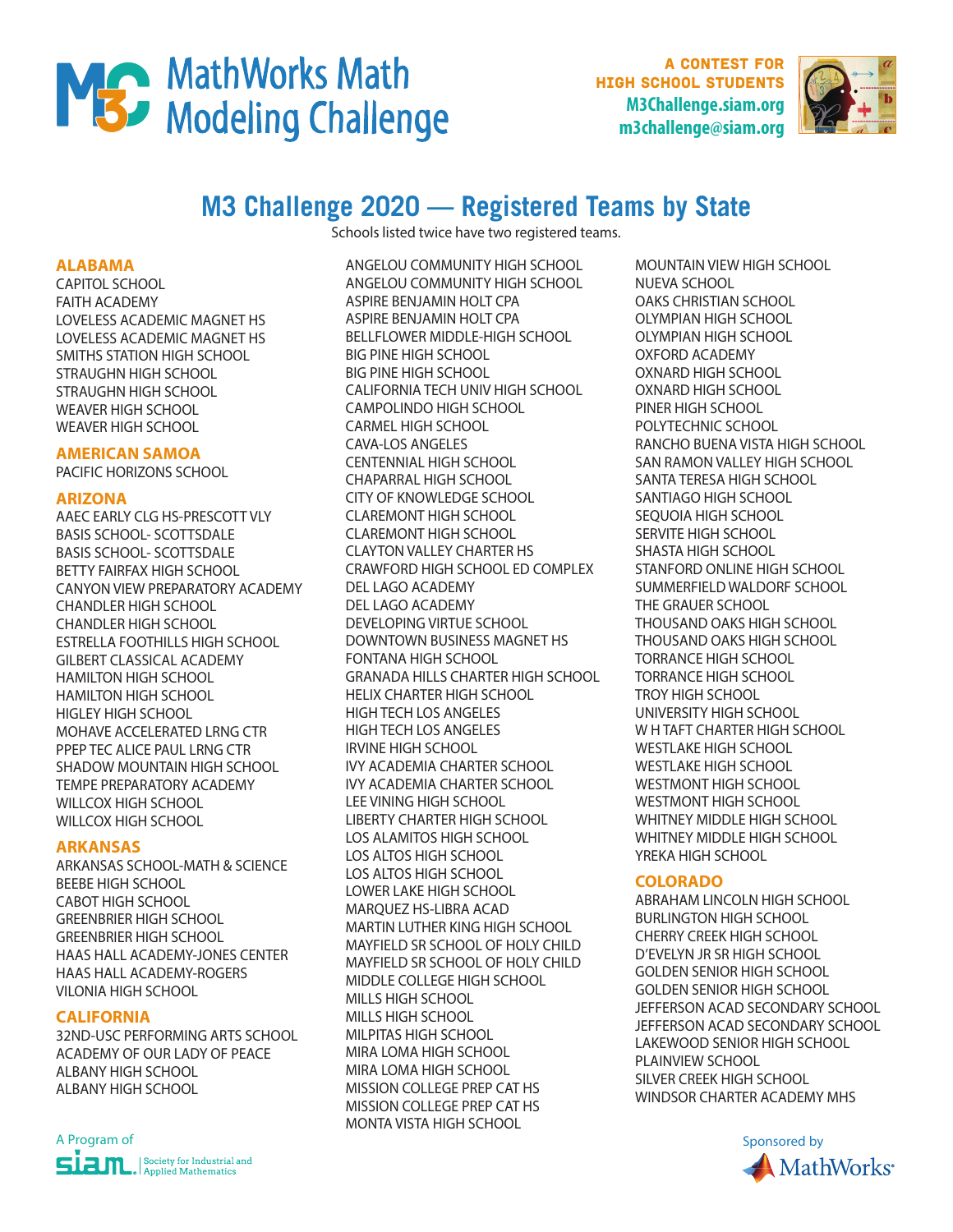# MS MathWorks Math

**A CONTEST FOR** high school students **M3Challenge.siam.org m3challenge@siam.org**



# **M3 Challenge 2020 — Registered Teams by State**

Schools listed twice have two registered teams.

#### **ALABAMA**

CAPITOL SCHOOL FAITH ACADEMY LOVELESS ACADEMIC MAGNET HS LOVELESS ACADEMIC MAGNET HS SMITHS STATION HIGH SCHOOL STRAUGHN HIGH SCHOOL STRAUGHN HIGH SCHOOL WEAVER HIGH SCHOOL WEAVER HIGH SCHOOL

# **AMERICAN SAMOA**

PACIFIC HORIZONS SCHOOL

# **ARIZONA**

AAEC EARLY CLG HS-PRESCOTT VLY BASIS SCHOOL- SCOTTSDALE BASIS SCHOOL- SCOTTSDALE BETTY FAIRFAX HIGH SCHOOL CANYON VIEW PREPARATORY ACADEMY CHANDLER HIGH SCHOOL CHANDLER HIGH SCHOOL ESTRELLA FOOTHILLS HIGH SCHOOL GILBERT CLASSICAL ACADEMY HAMILTON HIGH SCHOOL HAMILTON HIGH SCHOOL HIGLEY HIGH SCHOOL MOHAVE ACCELERATED LRNG CTR PPEP TEC ALICE PAUL LRNG CTR SHADOW MOUNTAIN HIGH SCHOOL TEMPE PREPARATORY ACADEMY WILLCOX HIGH SCHOOL WILLCOX HIGH SCHOOL

# **ARKANSAS**

ARKANSAS SCHOOL-MATH & SCIENCE BEEBE HIGH SCHOOL CABOT HIGH SCHOOL GREENBRIER HIGH SCHOOL GREENBRIER HIGH SCHOOL HAAS HALL ACADEMY-JONES CENTER HAAS HALL ACADEMY-ROGERS VILONIA HIGH SCHOOL

# **CALIFORNIA**

32ND-USC PERFORMING ARTS SCHOOL ACADEMY OF OUR LADY OF PEACE ALBANY HIGH SCHOOL ALBANY HIGH SCHOOL



ANGELOU COMMUNITY HIGH SCHOOL ANGELOU COMMUNITY HIGH SCHOOL ASPIRE BENJAMIN HOLT CPA ASPIRE BENJAMIN HOLT CPA BELLFLOWER MIDDLE-HIGH SCHOOL BIG PINE HIGH SCHOOL BIG PINE HIGH SCHOOL CALIFORNIA TECH UNIV HIGH SCHOOL CAMPOLINDO HIGH SCHOOL CARMEL HIGH SCHOOL CAVA-LOS ANGELES CENTENNIAL HIGH SCHOOL CHAPARRAL HIGH SCHOOL CITY OF KNOWLEDGE SCHOOL CLAREMONT HIGH SCHOOL CLAREMONT HIGH SCHOOL CLAYTON VALLEY CHARTER HS CRAWFORD HIGH SCHOOL ED COMPLEX DEL LAGO ACADEMY DEL LAGO ACADEMY DEVELOPING VIRTUE SCHOOL DOWNTOWN BUSINESS MAGNET HS FONTANA HIGH SCHOOL GRANADA HILLS CHARTER HIGH SCHOOL HELIX CHARTER HIGH SCHOOL HIGH TECH LOS ANGELES HIGH TECH LOS ANGELES IRVINE HIGH SCHOOL IVY ACADEMIA CHARTER SCHOOL IVY ACADEMIA CHARTER SCHOOL LEE VINING HIGH SCHOOL LIBERTY CHARTER HIGH SCHOOL LOS ALAMITOS HIGH SCHOOL LOS ALTOS HIGH SCHOOL LOS ALTOS HIGH SCHOOL LOWER LAKE HIGH SCHOOL MARQUEZ HS-LIBRA ACAD MARTIN LUTHER KING HIGH SCHOOL MAYFIELD SR SCHOOL OF HOLY CHILD MAYFIELD SR SCHOOL OF HOLY CHILD MIDDLE COLLEGE HIGH SCHOOL MILLS HIGH SCHOOL MILLS HIGH SCHOOL MILPITAS HIGH SCHOOL MIRA LOMA HIGH SCHOOL MIRA LOMA HIGH SCHOOL MISSION COLLEGE PREP CAT HS MISSION COLLEGE PREP CAT HS MONTA VISTA HIGH SCHOOL

MOUNTAIN VIEW HIGH SCHOOL NUEVA SCHOOL OAKS CHRISTIAN SCHOOL OLYMPIAN HIGH SCHOOL OLYMPIAN HIGH SCHOOL OXFORD ACADEMY OXNARD HIGH SCHOOL OXNARD HIGH SCHOOL PINER HIGH SCHOOL POLYTECHNIC SCHOOL RANCHO BUENA VISTA HIGH SCHOOL SAN RAMON VALLEY HIGH SCHOOL SANTA TERESA HIGH SCHOOL SANTIAGO HIGH SCHOOL SEQUOIA HIGH SCHOOL SERVITE HIGH SCHOOL SHASTA HIGH SCHOOL STANFORD ONLINE HIGH SCHOOL SUMMERFIELD WALDORF SCHOOL THE GRAUER SCHOOL THOUSAND OAKS HIGH SCHOOL THOUSAND OAKS HIGH SCHOOL TORRANCE HIGH SCHOOL TORRANCE HIGH SCHOOL TROY HIGH SCHOOL UNIVERSITY HIGH SCHOOL W H TAFT CHARTER HIGH SCHOOL WESTLAKE HIGH SCHOOL WESTLAKE HIGH SCHOOL WESTMONT HIGH SCHOOL WESTMONT HIGH SCHOOL WHITNEY MIDDLE HIGH SCHOOL WHITNEY MIDDLE HIGH SCHOOL YREKA HIGH SCHOOL

# **COLORADO**

ABRAHAM LINCOLN HIGH SCHOOL BURLINGTON HIGH SCHOOL CHERRY CREEK HIGH SCHOOL D'EVELYN JR SR HIGH SCHOOL GOLDEN SENIOR HIGH SCHOOL GOLDEN SENIOR HIGH SCHOOL JEFFERSON ACAD SECONDARY SCHOOL JEFFERSON ACAD SECONDARY SCHOOL LAKEWOOD SENIOR HIGH SCHOOL PLAINVIEW SCHOOL SILVER CREEK HIGH SCHOOL WINDSOR CHARTER ACADEMY MHS

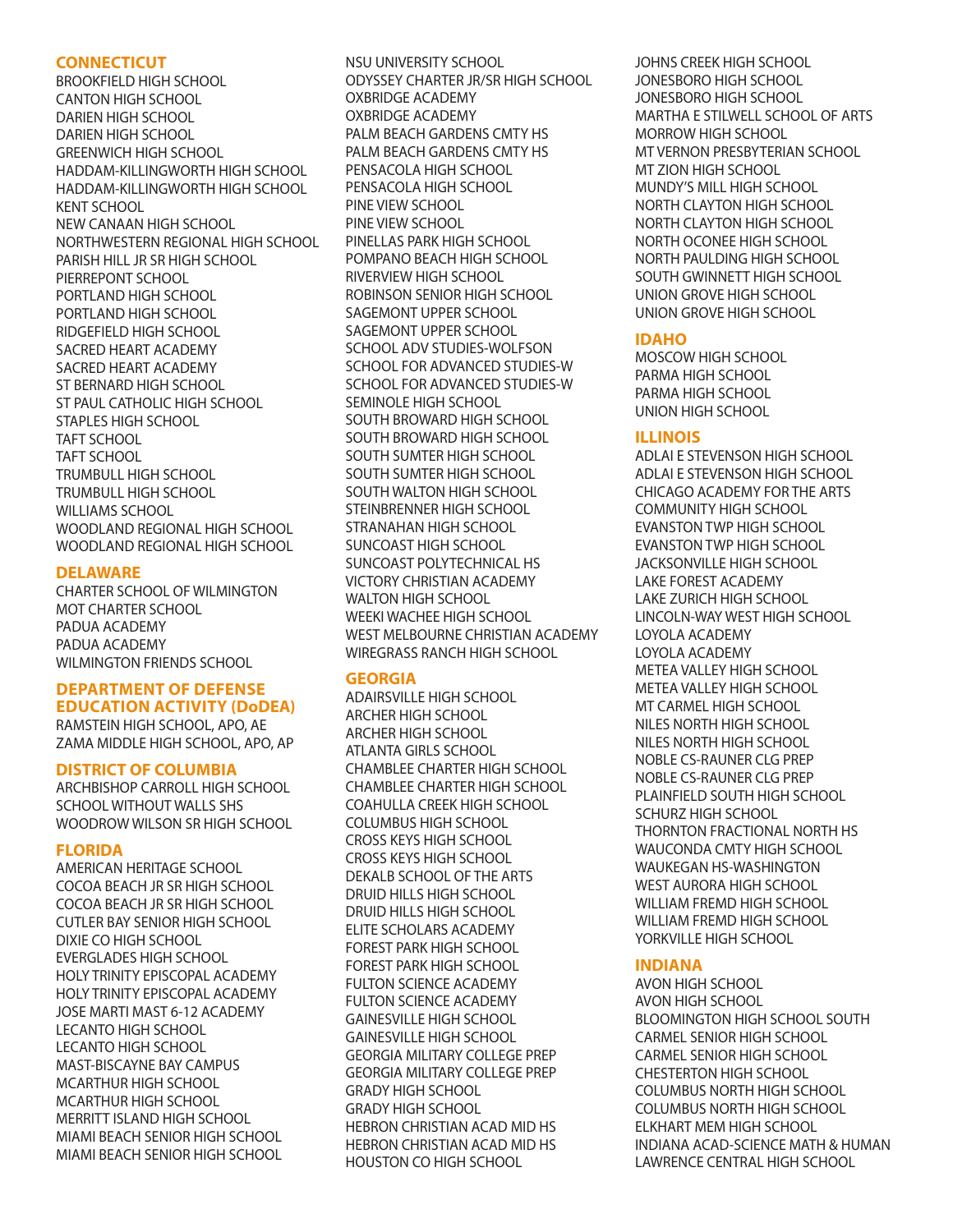#### **CONNECTICUT**

BROOKFIELD HIGH SCHOOL CANTON HIGH SCHOOL DARIEN HIGH SCHOOL DARIEN HIGH SCHOOL GREENWICH HIGH SCHOOL HADDAM-KILLINGWORTH HIGH SCHOOL HADDAM-KILLINGWORTH HIGH SCHOOL KENT SCHOOL NEW CANAAN HIGH SCHOOL NORTHWESTERN REGIONAL HIGH SCHOOL PARISH HILL JR SR HIGH SCHOOL PIERREPONT SCHOOL PORTLAND HIGH SCHOOL PORTLAND HIGH SCHOOL RIDGEFIELD HIGH SCHOOL SACRED HEART ACADEMY SACRED HEART ACADEMY ST BERNARD HIGH SCHOOL ST PAUL CATHOLIC HIGH SCHOOL STAPLES HIGH SCHOOL TAFT SCHOOL TAFT SCHOOL TRUMBULL HIGH SCHOOL TRUMBULL HIGH SCHOOL WILLIAMS SCHOOL WOODLAND REGIONAL HIGH SCHOOL WOODLAND REGIONAL HIGH SCHOOL

# **DELAWARE**

CHARTER SCHOOL OF WILMINGTON MOT CHARTER SCHOOL PADUA ACADEMY PADUA ACADEMY WILMINGTON FRIENDS SCHOOL

# **DEPARTMENT OF DEFENSE EDUCATION ACTIVITY (DoDEA)**

RAMSTEIN HIGH SCHOOL, APO, AE ZAMA MIDDLE HIGH SCHOOL, APO, AP

# **DISTRICT OF COLUMBIA**

ARCHBISHOP CARROLL HIGH SCHOOL SCHOOL WITHOUT WALLS SHS WOODROW WILSON SR HIGH SCHOOL

# **FLORIDA**

AMERICAN HERITAGE SCHOOL COCOA BEACH JR SR HIGH SCHOOL COCOA BEACH JR SR HIGH SCHOOL CUTLER BAY SENIOR HIGH SCHOOL DIXIE CO HIGH SCHOOL EVERGLADES HIGH SCHOOL HOLY TRINITY EPISCOPAL ACADEMY HOLY TRINITY EPISCOPAL ACADEMY JOSE MARTI MAST 6-12 ACADEMY LECANTO HIGH SCHOOL LECANTO HIGH SCHOOL MAST-BISCAYNE BAY CAMPUS MCARTHUR HIGH SCHOOL MCARTHUR HIGH SCHOOL MERRITT ISLAND HIGH SCHOOL MIAMI BEACH SENIOR HIGH SCHOOL MIAMI BEACH SENIOR HIGH SCHOOL NSU UNIVERSITY SCHOOL ODYSSEY CHARTER JR/SR HIGH SCHOOL OXBRIDGE ACADEMY OXBRIDGE ACADEMY PALM BEACH GARDENS CMTY HS PALM BEACH GARDENS CMTY HS PENSACOLA HIGH SCHOOL PENSACOLA HIGH SCHOOL PINE VIEW SCHOOL PINE VIEW SCHOOL PINELLAS PARK HIGH SCHOOL POMPANO BEACH HIGH SCHOOL RIVERVIEW HIGH SCHOOL ROBINSON SENIOR HIGH SCHOOL SAGEMONT UPPER SCHOOL SAGEMONT UPPER SCHOOL SCHOOL ADV STUDIES-WOLFSON SCHOOL FOR ADVANCED STUDIES-W SCHOOL FOR ADVANCED STUDIES-W SEMINOLE HIGH SCHOOL SOUTH BROWARD HIGH SCHOOL SOUTH BROWARD HIGH SCHOOL SOUTH SUMTER HIGH SCHOOL SOUTH SUMTER HIGH SCHOOL SOUTH WALTON HIGH SCHOOL STEINBRENNER HIGH SCHOOL STRANAHAN HIGH SCHOOL SUNCOAST HIGH SCHOOL SUNCOAST POLYTECHNICAL HS VICTORY CHRISTIAN ACADEMY WALTON HIGH SCHOOL WEEKI WACHEE HIGH SCHOOL WEST MELBOURNE CHRISTIAN ACADEMY WIREGRASS RANCH HIGH SCHOOL

# **GEORGIA**

ADAIRSVILLE HIGH SCHOOL ARCHER HIGH SCHOOL ARCHER HIGH SCHOOL ATLANTA GIRLS SCHOOL CHAMBLEE CHARTER HIGH SCHOOL CHAMBLEE CHARTER HIGH SCHOOL COAHULLA CREEK HIGH SCHOOL COLUMBUS HIGH SCHOOL CROSS KEYS HIGH SCHOOL CROSS KEYS HIGH SCHOOL DEKALB SCHOOL OF THE ARTS DRUID HILLS HIGH SCHOOL DRUID HILLS HIGH SCHOOL ELITE SCHOLARS ACADEMY FOREST PARK HIGH SCHOOL FOREST PARK HIGH SCHOOL FULTON SCIENCE ACADEMY FULTON SCIENCE ACADEMY GAINESVILLE HIGH SCHOOL GAINESVILLE HIGH SCHOOL GEORGIA MILITARY COLLEGE PREP GEORGIA MILITARY COLLEGE PREP GRADY HIGH SCHOOL GRADY HIGH SCHOOL HEBRON CHRISTIAN ACAD MID HS HEBRON CHRISTIAN ACAD MID HS HOUSTON CO HIGH SCHOOL

JOHNS CREEK HIGH SCHOOL JONESBORO HIGH SCHOOL JONESBORO HIGH SCHOOL MARTHA E STILWELL SCHOOL OF ARTS MORROW HIGH SCHOOL MT VERNON PRESBYTERIAN SCHOOL MT ZION HIGH SCHOOL MUNDY'S MILL HIGH SCHOOL NORTH CLAYTON HIGH SCHOOL NORTH CLAYTON HIGH SCHOOL NORTH OCONEE HIGH SCHOOL NORTH PAULDING HIGH SCHOOL SOUTH GWINNETT HIGH SCHOOL UNION GROVE HIGH SCHOOL UNION GROVE HIGH SCHOOL

#### **IDAHO**

MOSCOW HIGH SCHOOL PARMA HIGH SCHOOL PARMA HIGH SCHOOL UNION HIGH SCHOOL

#### **ILLINOIS**

ADLAI E STEVENSON HIGH SCHOOL ADLAI E STEVENSON HIGH SCHOOL CHICAGO ACADEMY FOR THE ARTS COMMUNITY HIGH SCHOOL EVANSTON TWP HIGH SCHOOL EVANSTON TWP HIGH SCHOOL JACKSONVILLE HIGH SCHOOL LAKE FOREST ACADEMY LAKE ZURICH HIGH SCHOOL LINCOLN-WAY WEST HIGH SCHOOL LOYOLA ACADEMY LOYOLA ACADEMY METEA VALLEY HIGH SCHOOL METEA VALLEY HIGH SCHOOL MT CARMEL HIGH SCHOOL NILES NORTH HIGH SCHOOL NILES NORTH HIGH SCHOOL NOBLE CS-RAUNER CLG PREP NOBLE CS-RAUNER CLG PREP PLAINFIELD SOUTH HIGH SCHOOL SCHURZ HIGH SCHOOL THORNTON FRACTIONAL NORTH HS WAUCONDA CMTY HIGH SCHOOL WAUKEGAN HS-WASHINGTON WEST AURORA HIGH SCHOOL WILLIAM FREMD HIGH SCHOOL WILLIAM FREMD HIGH SCHOOL YORKVILLE HIGH SCHOOL

# **INDIANA**

AVON HIGH SCHOOL AVON HIGH SCHOOL BLOOMINGTON HIGH SCHOOL SOUTH CARMEL SENIOR HIGH SCHOOL CARMEL SENIOR HIGH SCHOOL CHESTERTON HIGH SCHOOL COLUMBUS NORTH HIGH SCHOOL COLUMBUS NORTH HIGH SCHOOL ELKHART MEM HIGH SCHOOL INDIANA ACAD-SCIENCE MATH & HUMAN LAWRENCE CENTRAL HIGH SCHOOL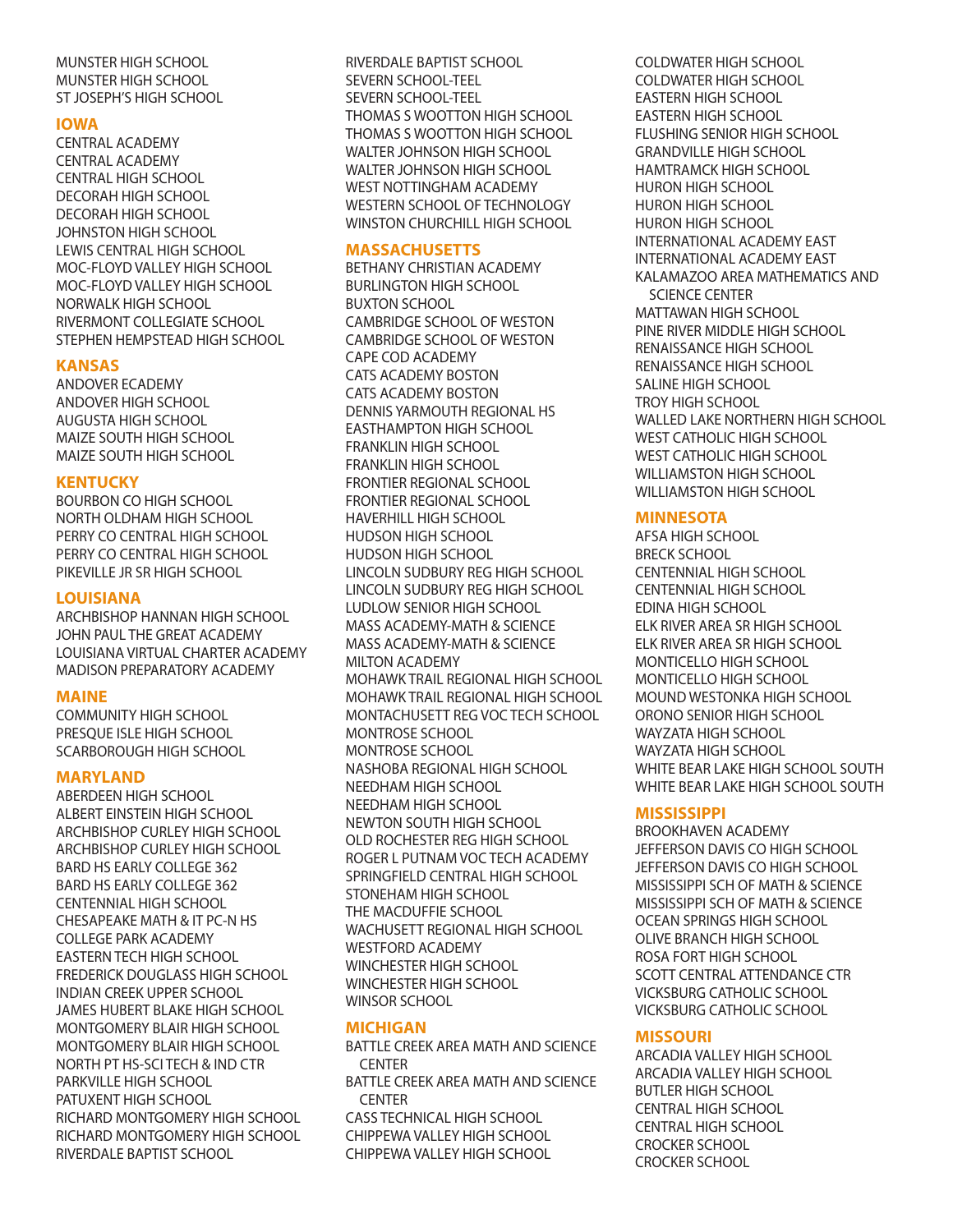MUNSTER HIGH SCHOOL MUNSTER HIGH SCHOOL ST JOSEPH'S HIGH SCHOOL

#### **IOWA**

CENTRAL ACADEMY CENTRAL ACADEMY CENTRAL HIGH SCHOOL DECORAH HIGH SCHOOL DECORAH HIGH SCHOOL JOHNSTON HIGH SCHOOL LEWIS CENTRAL HIGH SCHOOL MOC-FLOYD VALLEY HIGH SCHOOL MOC-FLOYD VALLEY HIGH SCHOOL NORWALK HIGH SCHOOL RIVERMONT COLLEGIATE SCHOOL STEPHEN HEMPSTEAD HIGH SCHOOL

#### **KANSAS**

ANDOVER ECADEMY ANDOVER HIGH SCHOOL AUGUSTA HIGH SCHOOL MAIZE SOUTH HIGH SCHOOL MAIZE SOUTH HIGH SCHOOL

#### **KENTUCKY**

BOURBON CO HIGH SCHOOL NORTH OLDHAM HIGH SCHOOL PERRY CO CENTRAL HIGH SCHOOL PERRY CO CENTRAL HIGH SCHOOL PIKEVILLE JR SR HIGH SCHOOL

#### **LOUISIANA**

ARCHBISHOP HANNAN HIGH SCHOOL JOHN PAUL THE GREAT ACADEMY LOUISIANA VIRTUAL CHARTER ACADEMY MADISON PREPARATORY ACADEMY

#### **MAINE**

COMMUNITY HIGH SCHOOL PRESQUE ISLE HIGH SCHOOL SCARBOROUGH HIGH SCHOOL

#### **MARYLAND**

ABERDEEN HIGH SCHOOL ALBERT EINSTEIN HIGH SCHOOL ARCHBISHOP CURLEY HIGH SCHOOL ARCHBISHOP CURLEY HIGH SCHOOL BARD HS EARLY COLLEGE 362 BARD HS EARLY COLLEGE 362 CENTENNIAL HIGH SCHOOL CHESAPEAKE MATH & IT PC-N HS COLLEGE PARK ACADEMY EASTERN TECH HIGH SCHOOL FREDERICK DOUGLASS HIGH SCHOOL INDIAN CREEK UPPER SCHOOL JAMES HUBERT BLAKE HIGH SCHOOL MONTGOMERY BLAIR HIGH SCHOOL MONTGOMERY BLAIR HIGH SCHOOL NORTH PT HS-SCI TECH & IND CTR PARKVILLE HIGH SCHOOL PATUXENT HIGH SCHOOL RICHARD MONTGOMERY HIGH SCHOOL RICHARD MONTGOMERY HIGH SCHOOL RIVERDALE BAPTIST SCHOOL

RIVERDALE BAPTIST SCHOOL SEVERN SCHOOL-TEEL SEVERN SCHOOL-TEEL THOMAS S WOOTTON HIGH SCHOOL THOMAS S WOOTTON HIGH SCHOOL WALTER JOHNSON HIGH SCHOOL WALTER JOHNSON HIGH SCHOOL WEST NOTTINGHAM ACADEMY WESTERN SCHOOL OF TECHNOLOGY WINSTON CHURCHILL HIGH SCHOOL

#### **MASSACHUSETTS**

BETHANY CHRISTIAN ACADEMY BURLINGTON HIGH SCHOOL BUXTON SCHOOL CAMBRIDGE SCHOOL OF WESTON CAMBRIDGE SCHOOL OF WESTON CAPE COD ACADEMY CATS ACADEMY BOSTON CATS ACADEMY BOSTON DENNIS YARMOUTH REGIONAL HS EASTHAMPTON HIGH SCHOOL FRANKLIN HIGH SCHOOL FRANKLIN HIGH SCHOOL FRONTIER REGIONAL SCHOOL FRONTIER REGIONAL SCHOOL HAVERHILL HIGH SCHOOL HUDSON HIGH SCHOOL HUDSON HIGH SCHOOL LINCOLN SUDBURY REG HIGH SCHOOL LINCOLN SUDBURY REG HIGH SCHOOL LUDLOW SENIOR HIGH SCHOOL MASS ACADEMY-MATH & SCIENCE MASS ACADEMY-MATH & SCIENCE MILTON ACADEMY MOHAWK TRAIL REGIONAL HIGH SCHOOL MOHAWK TRAIL REGIONAL HIGH SCHOOL MONTACHUSETT REG VOC TECH SCHOOL MONTROSE SCHOOL MONTROSE SCHOOL NASHOBA REGIONAL HIGH SCHOOL NEEDHAM HIGH SCHOOL NEEDHAM HIGH SCHOOL NEWTON SOUTH HIGH SCHOOL OLD ROCHESTER REG HIGH SCHOOL ROGER L PUTNAM VOC TECH ACADEMY SPRINGFIELD CENTRAL HIGH SCHOOL STONEHAM HIGH SCHOOL THE MACDUFFIE SCHOOL WACHUSETT REGIONAL HIGH SCHOOL WESTFORD ACADEMY WINCHESTER HIGH SCHOOL WINCHESTER HIGH SCHOOL WINSOR SCHOOL

#### **MICHIGAN**

BATTLE CREEK AREA MATH AND SCIENCE CENTER BATTLE CREEK AREA MATH AND SCIENCE CENTER CASS TECHNICAL HIGH SCHOOL CHIPPEWA VALLEY HIGH SCHOOL CHIPPEWA VALLEY HIGH SCHOOL

COLDWATER HIGH SCHOOL COLDWATER HIGH SCHOOL EASTERN HIGH SCHOOL EASTERN HIGH SCHOOL FLUSHING SENIOR HIGH SCHOOL GRANDVILLE HIGH SCHOOL HAMTRAMCK HIGH SCHOOL HURON HIGH SCHOOL HURON HIGH SCHOOL HURON HIGH SCHOOL INTERNATIONAL ACADEMY EAST INTERNATIONAL ACADEMY EAST KALAMAZOO AREA MATHEMATICS AND SCIENCE CENTER MATTAWAN HIGH SCHOOL PINE RIVER MIDDLE HIGH SCHOOL RENAISSANCE HIGH SCHOOL RENAISSANCE HIGH SCHOOL SALINE HIGH SCHOOL TROY HIGH SCHOOL WALLED LAKE NORTHERN HIGH SCHOOL WEST CATHOLIC HIGH SCHOOL WEST CATHOLIC HIGH SCHOOL WILLIAMSTON HIGH SCHOOL WILLIAMSTON HIGH SCHOOL

#### **MINNESOTA**

AFSA HIGH SCHOOL BRECK SCHOOL CENTENNIAL HIGH SCHOOL CENTENNIAL HIGH SCHOOL EDINA HIGH SCHOOL ELK RIVER AREA SR HIGH SCHOOL ELK RIVER AREA SR HIGH SCHOOL MONTICELLO HIGH SCHOOL MONTICELLO HIGH SCHOOL MOUND WESTONKA HIGH SCHOOL ORONO SENIOR HIGH SCHOOL WAYZATA HIGH SCHOOL WAYZATA HIGH SCHOOL WHITE BEAR LAKE HIGH SCHOOL SOUTH WHITE BEAR LAKE HIGH SCHOOL SOUTH

#### **MISSISSIPPI**

BROOKHAVEN ACADEMY JEFFERSON DAVIS CO HIGH SCHOOL JEFFERSON DAVIS CO HIGH SCHOOL MISSISSIPPI SCH OF MATH & SCIENCE MISSISSIPPI SCH OF MATH & SCIENCE OCEAN SPRINGS HIGH SCHOOL OLIVE BRANCH HIGH SCHOOL ROSA FORT HIGH SCHOOL SCOTT CENTRAL ATTENDANCE CTR VICKSBURG CATHOLIC SCHOOL VICKSBURG CATHOLIC SCHOOL

#### **MISSOURI**

ARCADIA VALLEY HIGH SCHOOL ARCADIA VALLEY HIGH SCHOOL BUTLER HIGH SCHOOL CENTRAL HIGH SCHOOL CENTRAL HIGH SCHOOL CROCKER SCHOOL CROCKER SCHOOL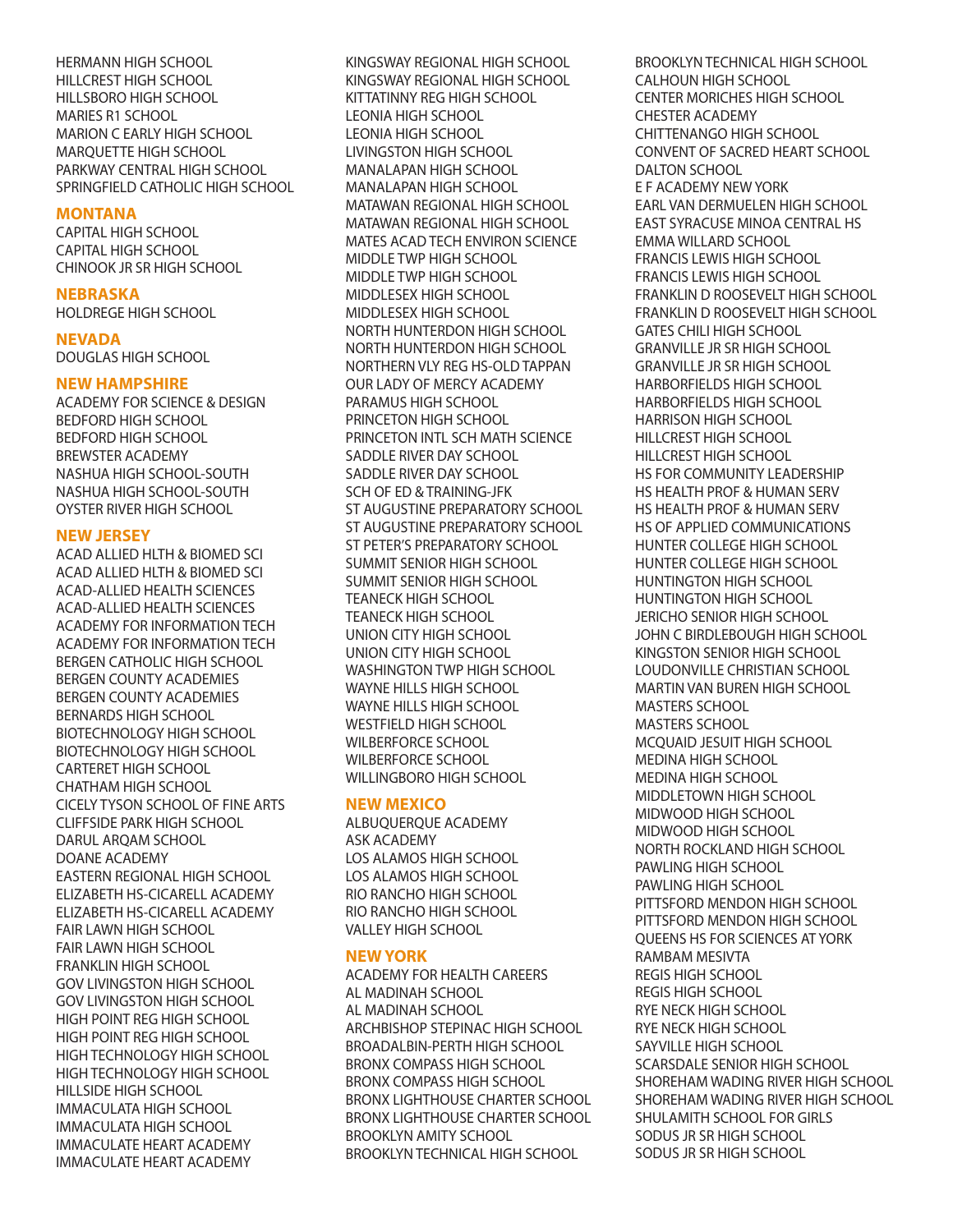HERMANN HIGH SCHOOL HILLCREST HIGH SCHOOL HILLSBORO HIGH SCHOOL MARIES R1 SCHOOL MARION C EARLY HIGH SCHOOL MARQUETTE HIGH SCHOOL PARKWAY CENTRAL HIGH SCHOOL SPRINGFIELD CATHOLIC HIGH SCHOOL

#### **MONTANA**

CAPITAL HIGH SCHOOL CAPITAL HIGH SCHOOL CHINOOK JR SR HIGH SCHOOL

#### **NEBRASKA**

HOLDREGE HIGH SCHOOL

**NEVADA**  DOUGLAS HIGH SCHOOL

#### **NEW HAMPSHIRE**

ACADEMY FOR SCIENCE & DESIGN BEDFORD HIGH SCHOOL BEDFORD HIGH SCHOOL BREWSTER ACADEMY NASHUA HIGH SCHOOL-SOUTH NASHUA HIGH SCHOOL-SOUTH OYSTER RIVER HIGH SCHOOL

#### **NEW JERSEY**

ACAD ALLIED HLTH & BIOMED SCI ACAD ALLIED HLTH & BIOMED SCI ACAD-ALLIED HEALTH SCIENCES ACAD-ALLIED HEALTH SCIENCES ACADEMY FOR INFORMATION TECH ACADEMY FOR INFORMATION TECH BERGEN CATHOLIC HIGH SCHOOL BERGEN COUNTY ACADEMIES BERGEN COUNTY ACADEMIES BERNARDS HIGH SCHOOL BIOTECHNOLOGY HIGH SCHOOL BIOTECHNOLOGY HIGH SCHOOL CARTERET HIGH SCHOOL CHATHAM HIGH SCHOOL CICELY TYSON SCHOOL OF FINE ARTS CLIFFSIDE PARK HIGH SCHOOL DARUL ARQAM SCHOOL DOANE ACADEMY EASTERN REGIONAL HIGH SCHOOL ELIZABETH HS-CICARELL ACADEMY ELIZABETH HS-CICARELL ACADEMY FAIR LAWN HIGH SCHOOL FAIR LAWN HIGH SCHOOL FRANKLIN HIGH SCHOOL GOV LIVINGSTON HIGH SCHOOL GOV LIVINGSTON HIGH SCHOOL HIGH POINT REG HIGH SCHOOL HIGH POINT REG HIGH SCHOOL HIGH TECHNOLOGY HIGH SCHOOL HIGH TECHNOLOGY HIGH SCHOOL HILLSIDE HIGH SCHOOL IMMACULATA HIGH SCHOOL IMMACULATA HIGH SCHOOL IMMACULATE HEART ACADEMY IMMACULATE HEART ACADEMY

KINGSWAY REGIONAL HIGH SCHOOL KINGSWAY REGIONAL HIGH SCHOOL KITTATINNY REG HIGH SCHOOL LEONIA HIGH SCHOOL LEONIA HIGH SCHOOL LIVINGSTON HIGH SCHOOL MANALAPAN HIGH SCHOOL MANALAPAN HIGH SCHOOL MATAWAN REGIONAL HIGH SCHOOL MATAWAN REGIONAL HIGH SCHOOL MATES ACAD TECH ENVIRON SCIENCE MIDDLE TWP HIGH SCHOOL MIDDLE TWP HIGH SCHOOL MIDDLESEX HIGH SCHOOL MIDDLESEX HIGH SCHOOL NORTH HUNTERDON HIGH SCHOOL NORTH HUNTERDON HIGH SCHOOL NORTHERN VLY REG HS-OLD TAPPAN OUR LADY OF MERCY ACADEMY PARAMUS HIGH SCHOOL PRINCETON HIGH SCHOOL PRINCETON INTL SCH MATH SCIENCE SADDLE RIVER DAY SCHOOL SADDLE RIVER DAY SCHOOL SCH OF ED & TRAINING-JFK ST AUGUSTINE PREPARATORY SCHOOL ST AUGUSTINE PREPARATORY SCHOOL ST PETER'S PREPARATORY SCHOOL SUMMIT SENIOR HIGH SCHOOL SUMMIT SENIOR HIGH SCHOOL TEANECK HIGH SCHOOL TEANECK HIGH SCHOOL UNION CITY HIGH SCHOOL UNION CITY HIGH SCHOOL WASHINGTON TWP HIGH SCHOOL WAYNE HILLS HIGH SCHOOL WAYNE HILLS HIGH SCHOOL WESTFIELD HIGH SCHOOL WILBERFORCE SCHOOL WILBERFORCE SCHOOL WILLINGBORO HIGH SCHOOL

#### **NEW MEXICO**

ALBUQUERQUE ACADEMY ASK ACADEMY LOS ALAMOS HIGH SCHOOL LOS ALAMOS HIGH SCHOOL RIO RANCHO HIGH SCHOOL RIO RANCHO HIGH SCHOOL VALLEY HIGH SCHOOL

#### **NEW YORK**

ACADEMY FOR HEALTH CAREERS AL MADINAH SCHOOL AL MADINAH SCHOOL ARCHBISHOP STEPINAC HIGH SCHOOL BROADALBIN-PERTH HIGH SCHOOL BRONX COMPASS HIGH SCHOOL BRONX COMPASS HIGH SCHOOL BRONX LIGHTHOUSE CHARTER SCHOOL BRONX LIGHTHOUSE CHARTER SCHOOL BROOKLYN AMITY SCHOOL BROOKLYN TECHNICAL HIGH SCHOOL

BROOKLYN TECHNICAL HIGH SCHOOL CALHOUN HIGH SCHOOL CENTER MORICHES HIGH SCHOOL CHESTER ACADEMY CHITTENANGO HIGH SCHOOL CONVENT OF SACRED HEART SCHOOL DALTON SCHOOL E F ACADEMY NEW YORK EARL VAN DERMUELEN HIGH SCHOOL EAST SYRACUSE MINOA CENTRAL HS EMMA WILLARD SCHOOL FRANCIS LEWIS HIGH SCHOOL FRANCIS LEWIS HIGH SCHOOL FRANKLIN D ROOSEVELT HIGH SCHOOL FRANKLIN D ROOSEVELT HIGH SCHOOL GATES CHILI HIGH SCHOOL GRANVILLE JR SR HIGH SCHOOL GRANVILLE JR SR HIGH SCHOOL HARBORFIELDS HIGH SCHOOL HARBORFIELDS HIGH SCHOOL HARRISON HIGH SCHOOL HILLCREST HIGH SCHOOL HILLCREST HIGH SCHOOL HS FOR COMMUNITY LEADERSHIP HS HEALTH PROF & HUMAN SERV HS HEALTH PROF & HUMAN SERV HS OF APPLIED COMMUNICATIONS HUNTER COLLEGE HIGH SCHOOL HUNTER COLLEGE HIGH SCHOOL HUNTINGTON HIGH SCHOOL HUNTINGTON HIGH SCHOOL JERICHO SENIOR HIGH SCHOOL JOHN C BIRDLEBOUGH HIGH SCHOOL KINGSTON SENIOR HIGH SCHOOL LOUDONVILLE CHRISTIAN SCHOOL MARTIN VAN BUREN HIGH SCHOOL MASTERS SCHOOL MASTERS SCHOOL MCQUAID JESUIT HIGH SCHOOL MEDINA HIGH SCHOOL MEDINA HIGH SCHOOL MIDDLETOWN HIGH SCHOOL MIDWOOD HIGH SCHOOL MIDWOOD HIGH SCHOOL NORTH ROCKLAND HIGH SCHOOL PAWLING HIGH SCHOOL PAWLING HIGH SCHOOL PITTSFORD MENDON HIGH SCHOOL PITTSFORD MENDON HIGH SCHOOL QUEENS HS FOR SCIENCES AT YORK RAMBAM MESIVTA REGIS HIGH SCHOOL REGIS HIGH SCHOOL RYE NECK HIGH SCHOOL RYE NECK HIGH SCHOOL SAYVILLE HIGH SCHOOL SCARSDALE SENIOR HIGH SCHOOL SHOREHAM WADING RIVER HIGH SCHOOL SHOREHAM WADING RIVER HIGH SCHOOL SHULAMITH SCHOOL FOR GIRLS SODUS JR SR HIGH SCHOOL SODUS JR SR HIGH SCHOOL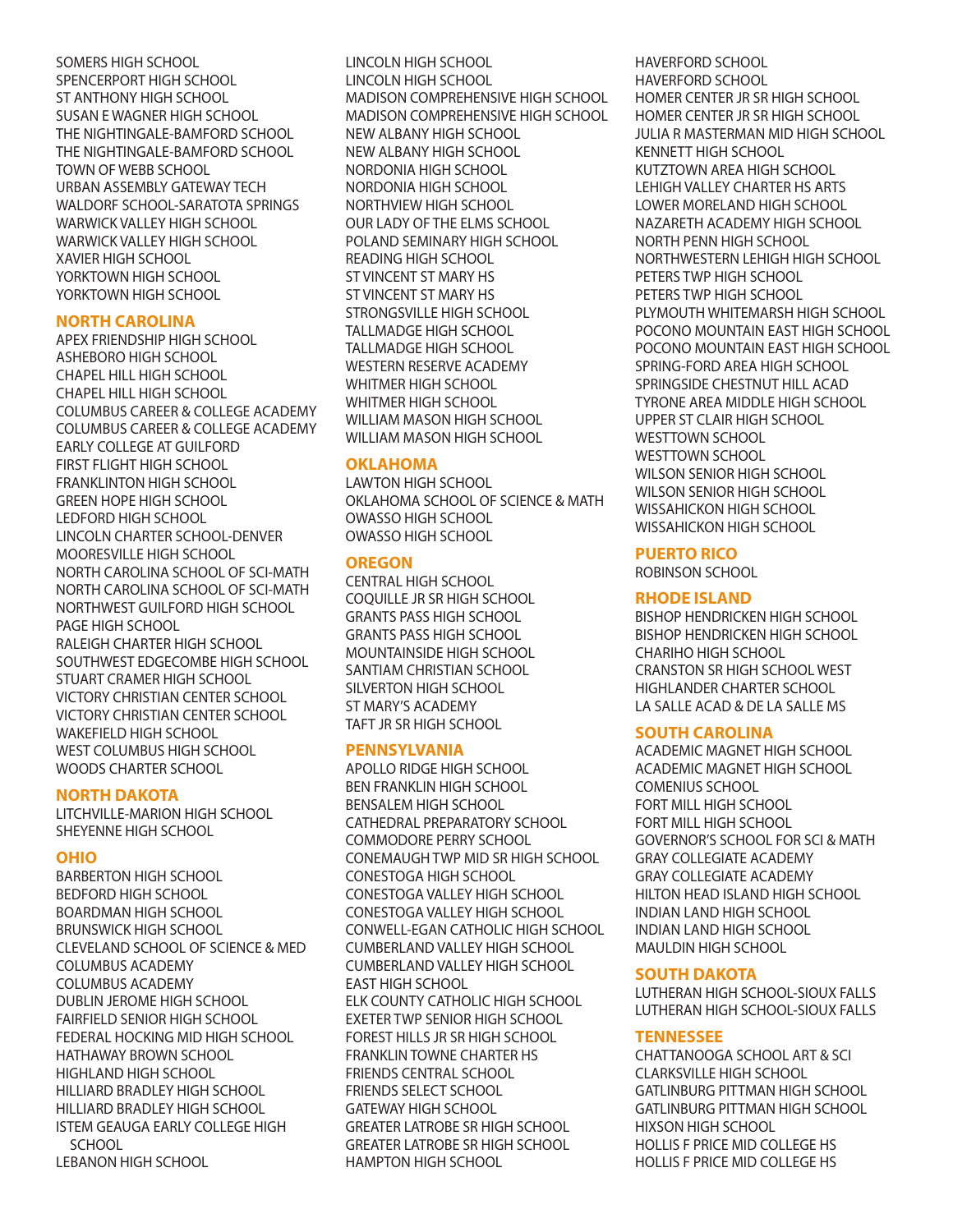SOMERS HIGH SCHOOL SPENCERPORT HIGH SCHOOL ST ANTHONY HIGH SCHOOL SUSAN E WAGNER HIGH SCHOOL THE NIGHTINGALE-BAMFORD SCHOOL THE NIGHTINGALE-BAMFORD SCHOOL TOWN OF WEBB SCHOOL URBAN ASSEMBLY GATEWAY TECH WALDORF SCHOOL-SARATOTA SPRINGS WARWICK VALLEY HIGH SCHOOL WARWICK VALLEY HIGH SCHOOL XAVIER HIGH SCHOOL YORKTOWN HIGH SCHOOL YORKTOWN HIGH SCHOOL

# **NORTH CAROLINA**

APEX FRIENDSHIP HIGH SCHOOL ASHEBORO HIGH SCHOOL CHAPEL HILL HIGH SCHOOL CHAPEL HILL HIGH SCHOOL COLUMBUS CAREER & COLLEGE ACADEMY COLUMBUS CAREER & COLLEGE ACADEMY EARLY COLLEGE AT GUILFORD FIRST FLIGHT HIGH SCHOOL FRANKLINTON HIGH SCHOOL GREEN HOPE HIGH SCHOOL LEDFORD HIGH SCHOOL LINCOLN CHARTER SCHOOL-DENVER MOORESVILLE HIGH SCHOOL NORTH CAROLINA SCHOOL OF SCI-MATH NORTH CAROLINA SCHOOL OF SCI-MATH NORTHWEST GUILFORD HIGH SCHOOL PAGE HIGH SCHOOL RALEIGH CHARTER HIGH SCHOOL SOUTHWEST EDGECOMBE HIGH SCHOOL STUART CRAMER HIGH SCHOOL VICTORY CHRISTIAN CENTER SCHOOL VICTORY CHRISTIAN CENTER SCHOOL WAKEFIELD HIGH SCHOOL WEST COLUMBUS HIGH SCHOOL WOODS CHARTER SCHOOL

#### **NORTH DAKOTA**

LITCHVILLE-MARION HIGH SCHOOL SHEYENNE HIGH SCHOOL

#### **OHIO**

BARBERTON HIGH SCHOOL BEDFORD HIGH SCHOOL BOARDMAN HIGH SCHOOL BRUNSWICK HIGH SCHOOL CLEVELAND SCHOOL OF SCIENCE & MED COLUMBUS ACADEMY COLUMBUS ACADEMY DUBLIN JEROME HIGH SCHOOL FAIRFIELD SENIOR HIGH SCHOOL FEDERAL HOCKING MID HIGH SCHOOL HATHAWAY BROWN SCHOOL HIGHLAND HIGH SCHOOL HILLIARD BRADLEY HIGH SCHOOL HILLIARD BRADLEY HIGH SCHOOL ISTEM GEAUGA EARLY COLLEGE HIGH **SCHOOL** LEBANON HIGH SCHOOL

LINCOLN HIGH SCHOOL LINCOLN HIGH SCHOOL MADISON COMPREHENSIVE HIGH SCHOOL MADISON COMPREHENSIVE HIGH SCHOOL NEW ALBANY HIGH SCHOOL NEW ALBANY HIGH SCHOOL NORDONIA HIGH SCHOOL NORDONIA HIGH SCHOOL NORTHVIEW HIGH SCHOOL OUR LADY OF THE ELMS SCHOOL POLAND SEMINARY HIGH SCHOOL READING HIGH SCHOOL ST VINCENT ST MARY HS ST VINCENT ST MARY HS STRONGSVILLE HIGH SCHOOL TALLMADGE HIGH SCHOOL TALLMADGE HIGH SCHOOL WESTERN RESERVE ACADEMY WHITMER HIGH SCHOOL WHITMER HIGH SCHOOL WILLIAM MASON HIGH SCHOOL WILLIAM MASON HIGH SCHOOL

#### **OKLAHOMA**

LAWTON HIGH SCHOOL OKLAHOMA SCHOOL OF SCIENCE & MATH OWASSO HIGH SCHOOL OWASSO HIGH SCHOOL

# **OREGON**

CENTRAL HIGH SCHOOL COQUILLE JR SR HIGH SCHOOL GRANTS PASS HIGH SCHOOL GRANTS PASS HIGH SCHOOL MOUNTAINSIDE HIGH SCHOOL SANTIAM CHRISTIAN SCHOOL SILVERTON HIGH SCHOOL ST MARY'S ACADEMY TAFT JR SR HIGH SCHOOL

#### **PENNSYLVANIA**

APOLLO RIDGE HIGH SCHOOL BEN FRANKLIN HIGH SCHOOL BENSALEM HIGH SCHOOL CATHEDRAL PREPARATORY SCHOOL COMMODORE PERRY SCHOOL CONEMAUGH TWP MID SR HIGH SCHOOL CONESTOGA HIGH SCHOOL CONESTOGA VALLEY HIGH SCHOOL CONESTOGA VALLEY HIGH SCHOOL CONWELL-EGAN CATHOLIC HIGH SCHOOL CUMBERLAND VALLEY HIGH SCHOOL CUMBERLAND VALLEY HIGH SCHOOL EAST HIGH SCHOOL ELK COUNTY CATHOLIC HIGH SCHOOL EXETER TWP SENIOR HIGH SCHOOL FOREST HILLS JR SR HIGH SCHOOL FRANKLIN TOWNE CHARTER HS FRIENDS CENTRAL SCHOOL FRIENDS SELECT SCHOOL GATEWAY HIGH SCHOOL GREATER LATROBE SR HIGH SCHOOL GREATER LATROBE SR HIGH SCHOOL HAMPTON HIGH SCHOOL

HAVERFORD SCHOOL HAVERFORD SCHOOL HOMER CENTER JR SR HIGH SCHOOL HOMER CENTER JR SR HIGH SCHOOL JULIA R MASTERMAN MID HIGH SCHOOL KENNETT HIGH SCHOOL KUTZTOWN AREA HIGH SCHOOL LEHIGH VALLEY CHARTER HS ARTS LOWER MORELAND HIGH SCHOOL NAZARETH ACADEMY HIGH SCHOOL NORTH PENN HIGH SCHOOL NORTHWESTERN LEHIGH HIGH SCHOOL PETERS TWP HIGH SCHOOL PETERS TWP HIGH SCHOOL PLYMOUTH WHITEMARSH HIGH SCHOOL POCONO MOUNTAIN EAST HIGH SCHOOL POCONO MOUNTAIN EAST HIGH SCHOOL SPRING-FORD AREA HIGH SCHOOL SPRINGSIDE CHESTNUT HILL ACAD TYRONE AREA MIDDLE HIGH SCHOOL UPPER ST CLAIR HIGH SCHOOL WESTTOWN SCHOOL WESTTOWN SCHOOL WILSON SENIOR HIGH SCHOOL WILSON SENIOR HIGH SCHOOL WISSAHICKON HIGH SCHOOL WISSAHICKON HIGH SCHOOL

# **PUERTO RICO**

ROBINSON SCHOOL

# **RHODE ISLAND**

BISHOP HENDRICKEN HIGH SCHOOL BISHOP HENDRICKEN HIGH SCHOOL CHARIHO HIGH SCHOOL CRANSTON SR HIGH SCHOOL WEST HIGHLANDER CHARTER SCHOOL LA SALLE ACAD & DE LA SALLE MS

# **SOUTH CAROLINA**

ACADEMIC MAGNET HIGH SCHOOL ACADEMIC MAGNET HIGH SCHOOL COMENIUS SCHOOL FORT MILL HIGH SCHOOL FORT MILL HIGH SCHOOL GOVERNOR'S SCHOOL FOR SCI & MATH GRAY COLLEGIATE ACADEMY GRAY COLLEGIATE ACADEMY HILTON HEAD ISLAND HIGH SCHOOL INDIAN LAND HIGH SCHOOL INDIAN LAND HIGH SCHOOL MAULDIN HIGH SCHOOL

#### **SOUTH DAKOTA**

LUTHERAN HIGH SCHOOL-SIOUX FALLS LUTHERAN HIGH SCHOOL-SIOUX FALLS

# **TENNESSEE**

CHATTANOOGA SCHOOL ART & SCI CLARKSVILLE HIGH SCHOOL GATLINBURG PITTMAN HIGH SCHOOL GATLINBURG PITTMAN HIGH SCHOOL HIXSON HIGH SCHOOL HOLLIS F PRICE MID COLLEGE HS HOLLIS F PRICE MID COLLEGE HS